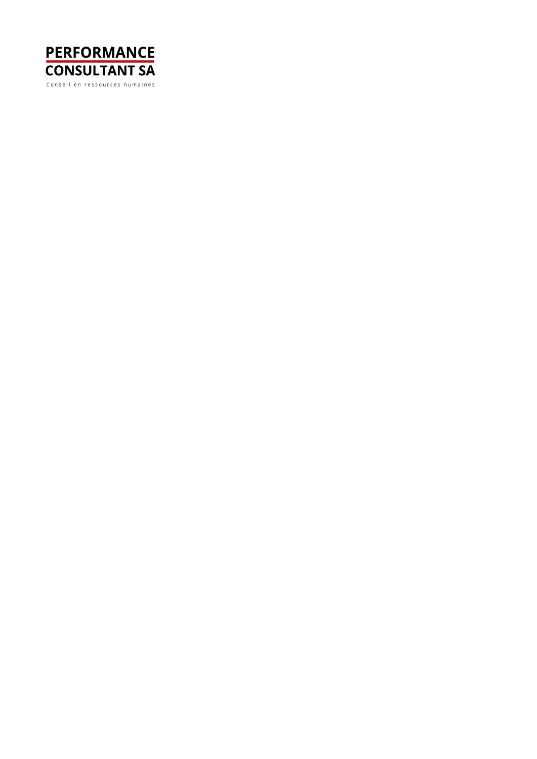